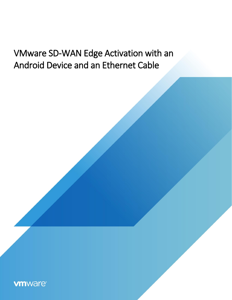# VMware SD-WAN Edge Activation with an Android Device and an Ethernet Cable

**vm**ware<sup>®</sup>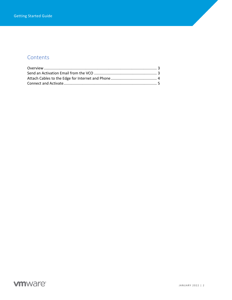## **Contents**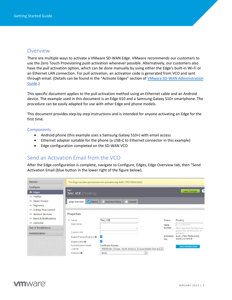#### <span id="page-2-0"></span>Overview

There are multiple ways to activate a VMware SD-WAN Edge. VMware recommends our customers to use the Zero Touch Provisioning *push* activation whenever possible. Alternatively, our customers also have the *pull* activation option, which can be done manually by using either the Edge's built-in Wi-Fi or an Ethernet LAN connection. For pull activation, an activation code is generated from VCO and sent through email. (Details can be found in the "Activate Edges" section of VMware SD-WAN Administration [Guide.](https://docs.vmware.com/en/VMware-SD-WAN/3.3/VMware-SD-WAN-by-VeloCloud-Administration-Guide/GUID-D09451A5-B44B-4703-92B5-AB9B0545E02F.html))

This specific document applies to the pull activation method using an Ethernet cable and an Android device. The example used in this document is an Edge 610 and a Samsung Galaxy S10+ smartphone. The procedure can be easily adapted for use with other Edge and phone models.

This document provides step-by-step instructions and is intended for anyone activating an Edge for the first time.

#### **Components**

- Android phone (this example uses a Samsung Galaxy S10+) with email access
- Ethernet adapter suitable for the phone (a USB-C to Ethernet connector in this example)
- Edge configuration completed on the SD-WAN VCO

#### <span id="page-2-1"></span>Send an Activation Email from the VCO

After the Edge configuration is complete, navigate to Configure, Edges, Edge Overview tab, then "Send Activation Email (blue button in the lower right of the figure below).

| Monitor                           |                                                      | This Edge has been provisioned with activation key 8LEC-YTE9-TEXN-UQSQ                         |               |                                              |
|-----------------------------------|------------------------------------------------------|------------------------------------------------------------------------------------------------|---------------|----------------------------------------------|
| Configure                         |                                                      |                                                                                                |               |                                              |
| <b>A</b> Edges<br><b>Profiles</b> | Edgeo ><br><b>Test_VCE</b> (Pending)                 |                                                                                                |               | 3<br>Save Changes                            |
| <b>Object Groups</b>              | $\blacktriangleright$ Device<br><b>Edge Overview</b> | <b>Business Policy</b><br><b>C</b> Firewall                                                    |               |                                              |
| Segments                          |                                                      |                                                                                                |               |                                              |
| Overlay Flow Control              |                                                      |                                                                                                |               |                                              |
| Network Services                  | Properties                                           |                                                                                                |               |                                              |
| Alerts & Notifications            | $\ast$<br>Name                                       | <b>Test VCE</b>                                                                                | <b>Status</b> | Pending                                      |
| Customer                          | Description                                          |                                                                                                |               |                                              |
|                                   |                                                      |                                                                                                | Serial        | Ex: VC00000490                               |
| <b>Test &amp; Troubleshoot</b>    |                                                      |                                                                                                | Number        | When specified, the Edge must                |
| Administration                    | Custom Info:                                         |                                                                                                |               | present this serial number on<br>activation. |
|                                   | Enable Pre-Notifications <sup>6</sup>                | M                                                                                              | Activation    | 8LEC-YTE9-TEXN-UOSO                          |
|                                   | Enable Alerts <sup>6</sup>                           |                                                                                                | Key           | expires in a month @                         |
|                                   | <b>Authentication Mode</b><br>License                | Certificate Acquire<br>PREMIUM   5 Gbps   North America, Europe Middle East and $\overline{ }$ |               | Send Activation Email                        |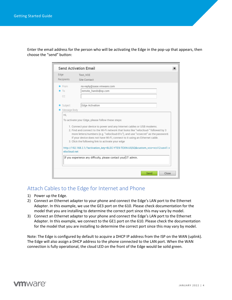Enter the email address for the person who will be activating the Edge in the pop-up that appears, then choose the "send" button:

| Edge<br>Recipients      | Test VCE<br>Site Contact                                                                                                                                                                                                                                                                                                                                                                                                                                                                                                     |
|-------------------------|------------------------------------------------------------------------------------------------------------------------------------------------------------------------------------------------------------------------------------------------------------------------------------------------------------------------------------------------------------------------------------------------------------------------------------------------------------------------------------------------------------------------------|
| * From<br>$*$ To<br>CC  | no-reply@sase.vmware.com<br>remote hands@sp.com                                                                                                                                                                                                                                                                                                                                                                                                                                                                              |
| Subject<br>Message Body | Edge Activation                                                                                                                                                                                                                                                                                                                                                                                                                                                                                                              |
| elocloud.net            | To activate your Edge, please follow these steps:<br>1. Connect your device to power and any Internet cables or USB modems.<br>2. Find and connect to the Wi-Fi network that looks like "velocloud-" followed by 3<br>more letters/numbers (e.g. "velocloud-01c"), and use "vcsecret" as the password.<br>If your device does not have Wi-Fi, connect to it using an Ethernet cable.<br>3. Click the following link to activate your edge<br>http://192.168.2.1/?activation_key=8LEC-YTE9-TEXN-UQSQ&custom_vco=vco12-usvi1.v |
|                         | If you experience any difficulty, please contact your IT admin.                                                                                                                                                                                                                                                                                                                                                                                                                                                              |
|                         |                                                                                                                                                                                                                                                                                                                                                                                                                                                                                                                              |

#### <span id="page-3-0"></span>Attach Cables to the Edge for Internet and Phone

- 1) Power up the Edge.
- 2) Connect an Ethernet adapter to your phone and connect the Edge's LAN port to the Ethernet Adapter. In this example, we use the GE3 port on the 610. Please check documentation for the model that you are installing to determine the correct port since this may vary by model.
- 3) Connect an Ethernet adapter to your phone and connect the Edge's LAN port to the Ethernet Adapter. In this example, we connect to the GE1 port on the 610. Please check the documentation for the model that you are installing to determine the correct port since this may vary by model.

Note: The Edge is configured by default to acquire a DHCP IP address from the ISP on the WAN (uplink). The Edge will also assign a DHCP address to the phone connected to the LAN port. When the WAN connection is fully operational, the cloud LED on the front of the Edge would be solid green.

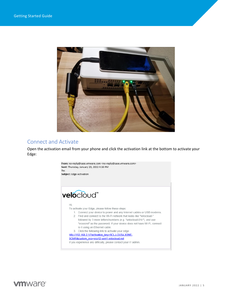

### <span id="page-4-0"></span>Connect and Activate

Open the activation email from your phone and click the activation link at the bottom to activate your Edge:



**vm**ware<sup>®</sup>